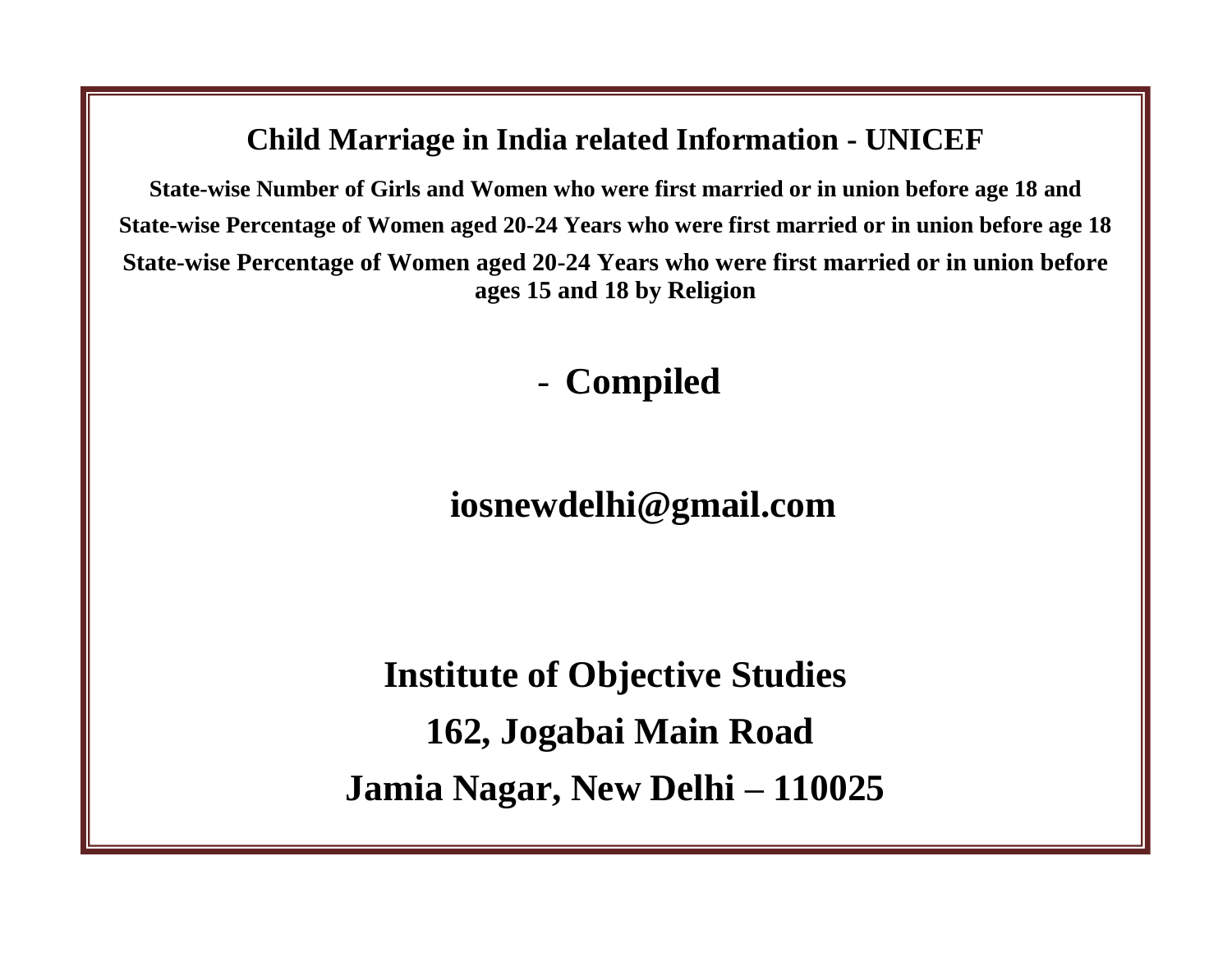### **Child Marriage in India related Information - UNICEF**

**State-wise Number of Girls and Women who were first married or in union before age 18 and State-wise Percentage of Women aged 20-24 Years who were first married or in union before age 18 State-wise Percentage of Women aged 20-24 Years who were first married or in union before ages 15 and 18 by Religion**

- **Compiled**

**iosnewdelhi@gmail.com**

**Institute of Objective Studies 162, Jogabai Main Road Jamia Nagar, New Delhi – 110025**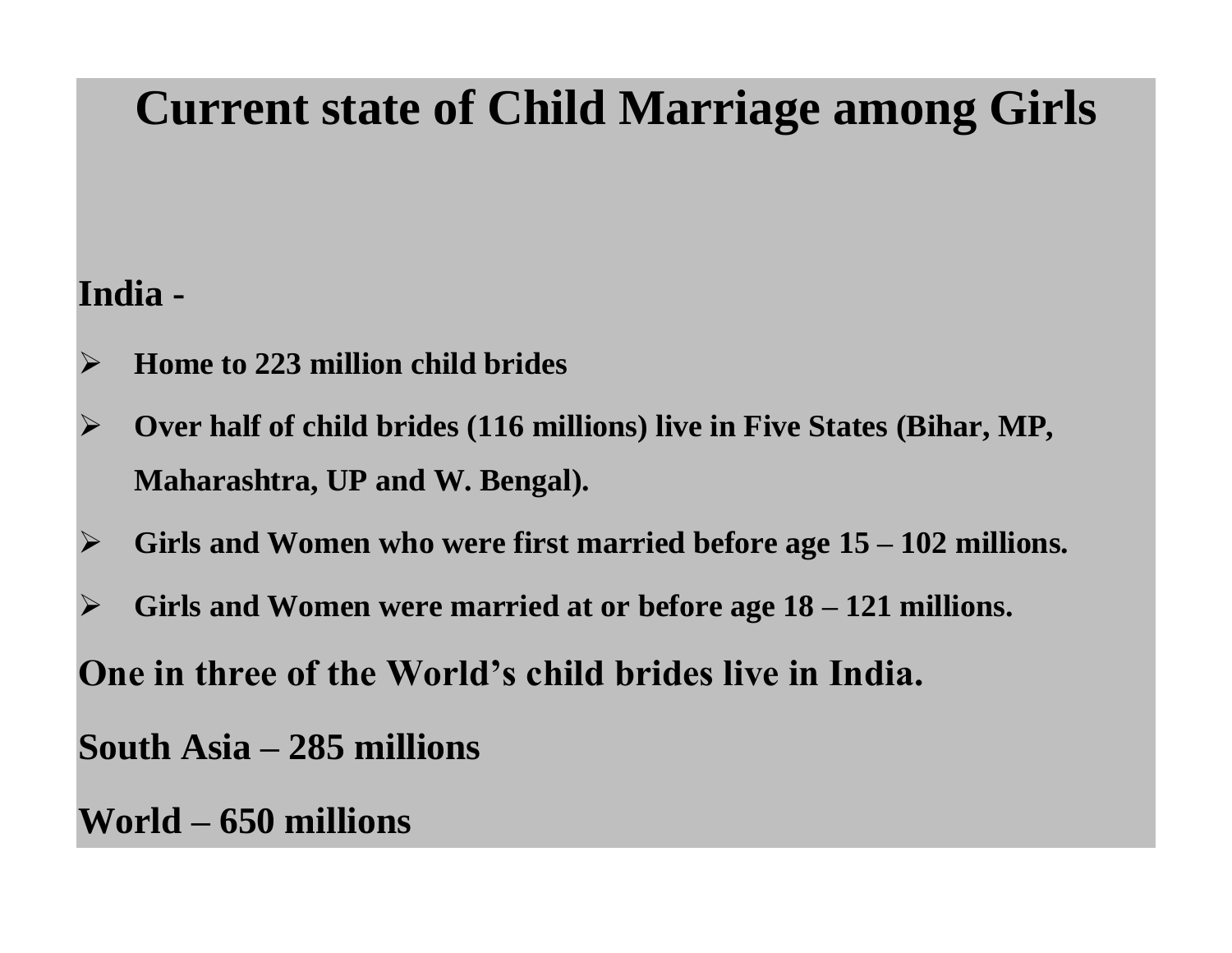# **Current state of Child Marriage among Girls**

## **India -**

- **Home to 223 million child brides**
- **Over half of child brides (116 millions) live in Five States (Bihar, MP, Maharashtra, UP and W. Bengal).**
- **Girls and Women who were first married before age 15 – 102 millions.**
- **Girls and Women were married at or before age 18 – 121 millions.**

**One in three of the World's child brides live in India.**

**South Asia – 285 millions**

**World – 650 millions**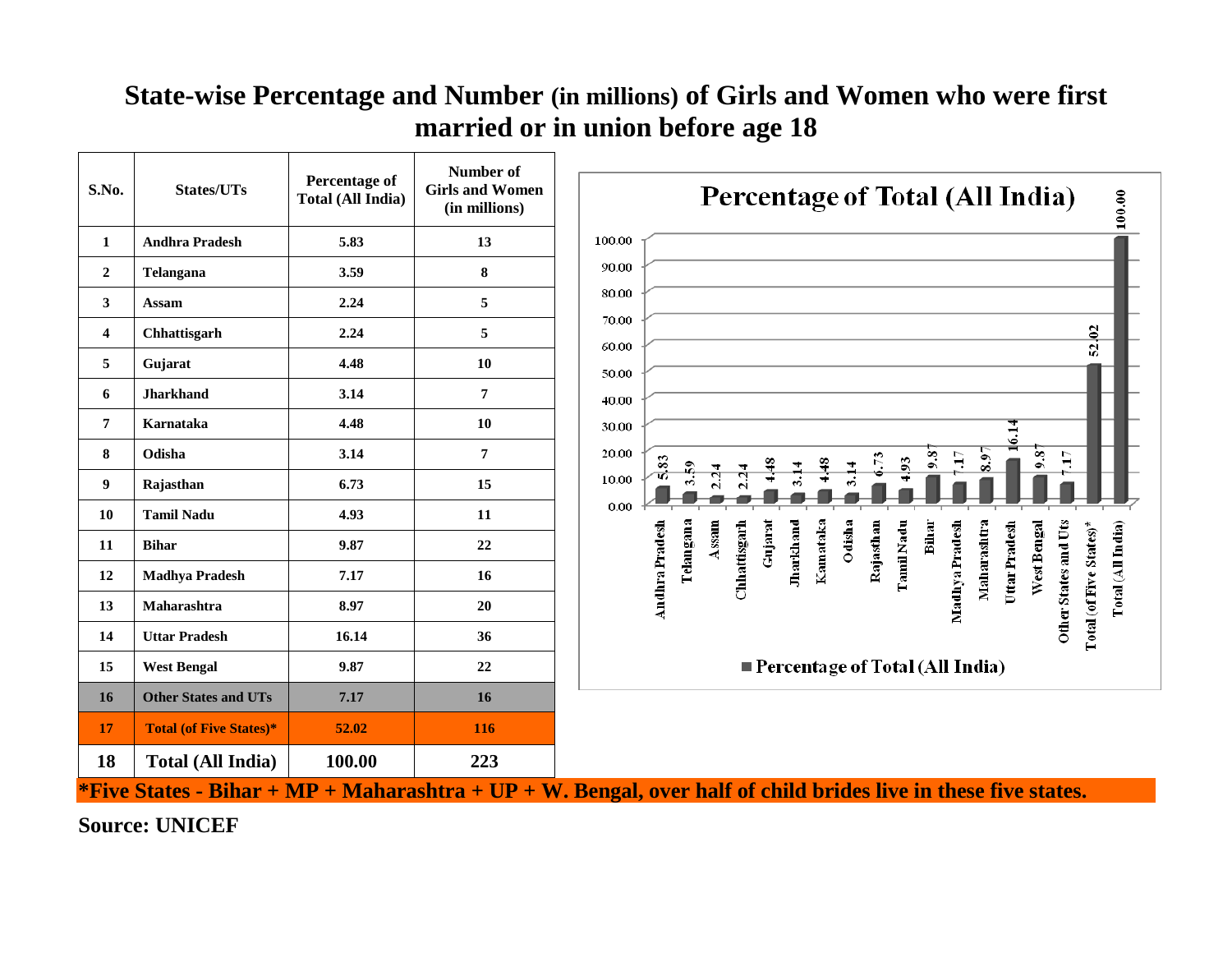#### **State-wise Percentage and Number (in millions) of Girls and Women who were first married or in union before age 18**  $\overline{\phantom{a}}$

| S.No.                                                                                                             | <b>States/UTs</b>              | Percentage of<br><b>Total (All India)</b> | Number of<br><b>Girls and Women</b><br>(in millions) | <b>Percentage of Total (All India)</b><br>$\ 100.00$                                                                                                                                                                                                                                          |  |  |
|-------------------------------------------------------------------------------------------------------------------|--------------------------------|-------------------------------------------|------------------------------------------------------|-----------------------------------------------------------------------------------------------------------------------------------------------------------------------------------------------------------------------------------------------------------------------------------------------|--|--|
| 1                                                                                                                 | <b>Andhra Pradesh</b>          | 5.83                                      | 13                                                   | 100.00                                                                                                                                                                                                                                                                                        |  |  |
| $\overline{2}$                                                                                                    | Telangana                      | 3.59                                      | ${\bf 8}$                                            | 90.00                                                                                                                                                                                                                                                                                         |  |  |
| 3                                                                                                                 | <b>Assam</b>                   | 2.24                                      | 5                                                    | 80.00                                                                                                                                                                                                                                                                                         |  |  |
| $\overline{\mathbf{4}}$                                                                                           | Chhattisgarh                   | 2.24                                      | 5                                                    | 70.00<br>52 02<br>60.00                                                                                                                                                                                                                                                                       |  |  |
| 5                                                                                                                 | Gujarat                        | 4.48                                      | 10                                                   | 50.00                                                                                                                                                                                                                                                                                         |  |  |
| 6                                                                                                                 | <b>Jharkhand</b>               | 3.14                                      | 7                                                    | 40.00                                                                                                                                                                                                                                                                                         |  |  |
| $\overline{7}$                                                                                                    | Karnataka                      | 4.48                                      | 10                                                   | 30.00                                                                                                                                                                                                                                                                                         |  |  |
| 8                                                                                                                 | Odisha                         | 3.14                                      | $\pmb{7}$                                            | 20.00<br>$\frac{8}{3}$<br>9.8<br>H.<br>$\overline{\phantom{0}}\phantom{0}3.9$<br>73<br>83<br>$\mathbf{5}$                                                                                                                                                                                     |  |  |
| 9                                                                                                                 | Rajasthan                      | 6.73                                      | 15                                                   | 10.00                                                                                                                                                                                                                                                                                         |  |  |
| 10                                                                                                                | <b>Tamil Nadu</b>              | 4.93                                      | 11                                                   | 0.00                                                                                                                                                                                                                                                                                          |  |  |
| 11                                                                                                                | <b>Bihar</b>                   | 9.87                                      | 22                                                   | Telangana<br>Gujarat<br><b>Andhra Pradesh</b><br>Chhattisgarh<br>Jharkhand<br>Kamataka<br>Odisha<br>Rajasthan<br>Maharashtra<br>Other States and Uts<br>Assam<br><b>Tamil Nadu</b><br>Bihar<br>Madhya Pradesh<br>West Bengal<br>Total (All India)<br>Uttar Pradesh<br>Total (of Five States)* |  |  |
| 12                                                                                                                | <b>Madhya Pradesh</b>          | 7.17                                      | 16                                                   |                                                                                                                                                                                                                                                                                               |  |  |
| 13                                                                                                                | Maharashtra                    | 8.97                                      | 20                                                   |                                                                                                                                                                                                                                                                                               |  |  |
| 14                                                                                                                | <b>Uttar Pradesh</b>           | 16.14                                     | 36                                                   |                                                                                                                                                                                                                                                                                               |  |  |
| 15                                                                                                                | <b>West Bengal</b>             | 9.87                                      | $22\,$                                               | Percentage of Total (All India)                                                                                                                                                                                                                                                               |  |  |
| 16                                                                                                                | <b>Other States and UTs</b>    | 7.17                                      | 16                                                   |                                                                                                                                                                                                                                                                                               |  |  |
| 17                                                                                                                | <b>Total (of Five States)*</b> | 52.02                                     | 116                                                  |                                                                                                                                                                                                                                                                                               |  |  |
| 18                                                                                                                | <b>Total (All India)</b>       | 100.00                                    | 223                                                  |                                                                                                                                                                                                                                                                                               |  |  |
| *Five States - Bihar + $MP + Maharashtra + UP + W$ . Bengal, over half of child brides live in these five states. |                                |                                           |                                                      |                                                                                                                                                                                                                                                                                               |  |  |

**Source: UNICEF**

 $\mathbf{r}$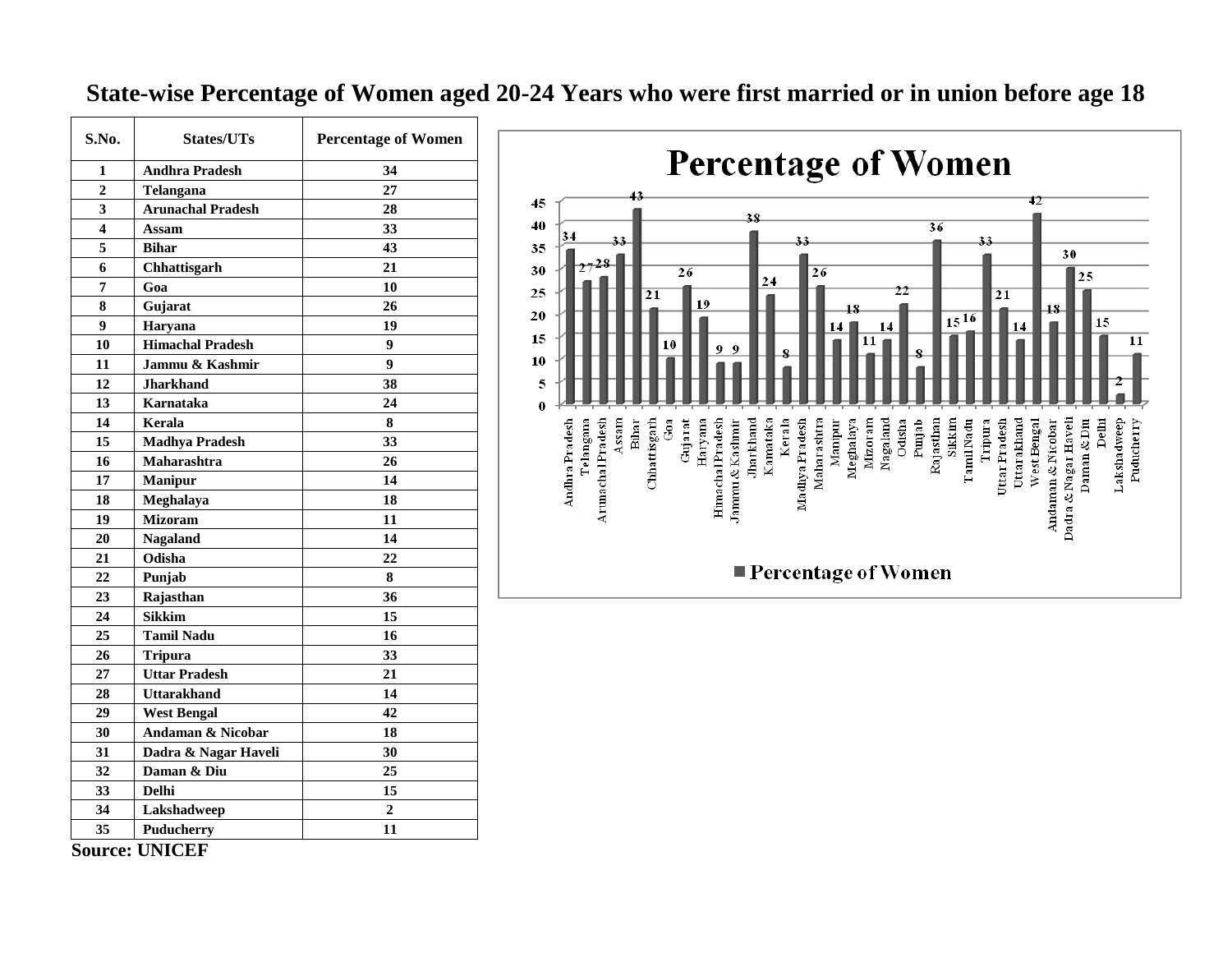#### **State-wise Percentage of Women aged 20-24 Years who were first married or in union before age 18**

| <b>Andhra Pradesh</b><br>1<br>34<br>$\overline{2}$<br>27<br>Telangana<br>3<br><b>Arunachal Pradesh</b><br>28<br>4<br>33<br>Assam<br>5<br>43<br><b>Bihar</b><br>6<br>21<br>Chhattisgarh<br>7<br>Goa<br>10<br>8<br>Gujarat<br>26<br>9<br>19<br>Haryana<br><b>Himachal Pradesh</b><br>10<br>9<br>9<br>11<br>Jammu & Kashmir<br>12<br><b>Jharkhand</b><br>38<br>13<br>Karnataka<br>24<br>14<br>Kerala<br>8<br>33<br>15<br><b>Madhya Pradesh</b><br>16<br>Maharashtra<br>26<br>17<br>14<br><b>Manipur</b><br>18<br>Meghalaya<br>18<br><b>Mizoram</b><br>19<br>11<br>20<br>14<br><b>Nagaland</b><br>21<br>22<br>Odisha<br>22<br>8<br>Punjab<br>36<br>23<br>Rajasthan<br>24<br><b>Sikkim</b><br>15<br>25<br><b>Tamil Nadu</b><br>16<br>26<br>33<br><b>Tripura</b><br>27<br><b>Uttar Pradesh</b><br>21<br>28<br>14<br>Uttarakhand<br>29<br>42<br><b>West Bengal</b><br>30<br><b>Andaman &amp; Nicobar</b><br>18<br>31<br>Dadra & Nagar Haveli<br>30<br>32<br>25<br>Daman & Diu<br>33<br>Delhi<br>15<br>34<br>$\boldsymbol{2}$<br>Lakshadweep<br>35<br>Puducherry<br>11 | S.No. | <b>States/UTs</b> | <b>Percentage of Women</b> |
|----------------------------------------------------------------------------------------------------------------------------------------------------------------------------------------------------------------------------------------------------------------------------------------------------------------------------------------------------------------------------------------------------------------------------------------------------------------------------------------------------------------------------------------------------------------------------------------------------------------------------------------------------------------------------------------------------------------------------------------------------------------------------------------------------------------------------------------------------------------------------------------------------------------------------------------------------------------------------------------------------------------------------------------------------------------|-------|-------------------|----------------------------|
|                                                                                                                                                                                                                                                                                                                                                                                                                                                                                                                                                                                                                                                                                                                                                                                                                                                                                                                                                                                                                                                                |       |                   |                            |
|                                                                                                                                                                                                                                                                                                                                                                                                                                                                                                                                                                                                                                                                                                                                                                                                                                                                                                                                                                                                                                                                |       |                   |                            |
|                                                                                                                                                                                                                                                                                                                                                                                                                                                                                                                                                                                                                                                                                                                                                                                                                                                                                                                                                                                                                                                                |       |                   |                            |
|                                                                                                                                                                                                                                                                                                                                                                                                                                                                                                                                                                                                                                                                                                                                                                                                                                                                                                                                                                                                                                                                |       |                   |                            |
|                                                                                                                                                                                                                                                                                                                                                                                                                                                                                                                                                                                                                                                                                                                                                                                                                                                                                                                                                                                                                                                                |       |                   |                            |
|                                                                                                                                                                                                                                                                                                                                                                                                                                                                                                                                                                                                                                                                                                                                                                                                                                                                                                                                                                                                                                                                |       |                   |                            |
|                                                                                                                                                                                                                                                                                                                                                                                                                                                                                                                                                                                                                                                                                                                                                                                                                                                                                                                                                                                                                                                                |       |                   |                            |
|                                                                                                                                                                                                                                                                                                                                                                                                                                                                                                                                                                                                                                                                                                                                                                                                                                                                                                                                                                                                                                                                |       |                   |                            |
|                                                                                                                                                                                                                                                                                                                                                                                                                                                                                                                                                                                                                                                                                                                                                                                                                                                                                                                                                                                                                                                                |       |                   |                            |
|                                                                                                                                                                                                                                                                                                                                                                                                                                                                                                                                                                                                                                                                                                                                                                                                                                                                                                                                                                                                                                                                |       |                   |                            |
|                                                                                                                                                                                                                                                                                                                                                                                                                                                                                                                                                                                                                                                                                                                                                                                                                                                                                                                                                                                                                                                                |       |                   |                            |
|                                                                                                                                                                                                                                                                                                                                                                                                                                                                                                                                                                                                                                                                                                                                                                                                                                                                                                                                                                                                                                                                |       |                   |                            |
|                                                                                                                                                                                                                                                                                                                                                                                                                                                                                                                                                                                                                                                                                                                                                                                                                                                                                                                                                                                                                                                                |       |                   |                            |
|                                                                                                                                                                                                                                                                                                                                                                                                                                                                                                                                                                                                                                                                                                                                                                                                                                                                                                                                                                                                                                                                |       |                   |                            |
|                                                                                                                                                                                                                                                                                                                                                                                                                                                                                                                                                                                                                                                                                                                                                                                                                                                                                                                                                                                                                                                                |       |                   |                            |
|                                                                                                                                                                                                                                                                                                                                                                                                                                                                                                                                                                                                                                                                                                                                                                                                                                                                                                                                                                                                                                                                |       |                   |                            |
|                                                                                                                                                                                                                                                                                                                                                                                                                                                                                                                                                                                                                                                                                                                                                                                                                                                                                                                                                                                                                                                                |       |                   |                            |
|                                                                                                                                                                                                                                                                                                                                                                                                                                                                                                                                                                                                                                                                                                                                                                                                                                                                                                                                                                                                                                                                |       |                   |                            |
|                                                                                                                                                                                                                                                                                                                                                                                                                                                                                                                                                                                                                                                                                                                                                                                                                                                                                                                                                                                                                                                                |       |                   |                            |
|                                                                                                                                                                                                                                                                                                                                                                                                                                                                                                                                                                                                                                                                                                                                                                                                                                                                                                                                                                                                                                                                |       |                   |                            |
|                                                                                                                                                                                                                                                                                                                                                                                                                                                                                                                                                                                                                                                                                                                                                                                                                                                                                                                                                                                                                                                                |       |                   |                            |
|                                                                                                                                                                                                                                                                                                                                                                                                                                                                                                                                                                                                                                                                                                                                                                                                                                                                                                                                                                                                                                                                |       |                   |                            |
|                                                                                                                                                                                                                                                                                                                                                                                                                                                                                                                                                                                                                                                                                                                                                                                                                                                                                                                                                                                                                                                                |       |                   |                            |
|                                                                                                                                                                                                                                                                                                                                                                                                                                                                                                                                                                                                                                                                                                                                                                                                                                                                                                                                                                                                                                                                |       |                   |                            |
|                                                                                                                                                                                                                                                                                                                                                                                                                                                                                                                                                                                                                                                                                                                                                                                                                                                                                                                                                                                                                                                                |       |                   |                            |
|                                                                                                                                                                                                                                                                                                                                                                                                                                                                                                                                                                                                                                                                                                                                                                                                                                                                                                                                                                                                                                                                |       |                   |                            |
|                                                                                                                                                                                                                                                                                                                                                                                                                                                                                                                                                                                                                                                                                                                                                                                                                                                                                                                                                                                                                                                                |       |                   |                            |
|                                                                                                                                                                                                                                                                                                                                                                                                                                                                                                                                                                                                                                                                                                                                                                                                                                                                                                                                                                                                                                                                |       |                   |                            |
|                                                                                                                                                                                                                                                                                                                                                                                                                                                                                                                                                                                                                                                                                                                                                                                                                                                                                                                                                                                                                                                                |       |                   |                            |
|                                                                                                                                                                                                                                                                                                                                                                                                                                                                                                                                                                                                                                                                                                                                                                                                                                                                                                                                                                                                                                                                |       |                   |                            |
|                                                                                                                                                                                                                                                                                                                                                                                                                                                                                                                                                                                                                                                                                                                                                                                                                                                                                                                                                                                                                                                                |       |                   |                            |
|                                                                                                                                                                                                                                                                                                                                                                                                                                                                                                                                                                                                                                                                                                                                                                                                                                                                                                                                                                                                                                                                |       |                   |                            |
|                                                                                                                                                                                                                                                                                                                                                                                                                                                                                                                                                                                                                                                                                                                                                                                                                                                                                                                                                                                                                                                                |       |                   |                            |
|                                                                                                                                                                                                                                                                                                                                                                                                                                                                                                                                                                                                                                                                                                                                                                                                                                                                                                                                                                                                                                                                |       |                   |                            |
|                                                                                                                                                                                                                                                                                                                                                                                                                                                                                                                                                                                                                                                                                                                                                                                                                                                                                                                                                                                                                                                                |       |                   |                            |



**Source: UNICEF**